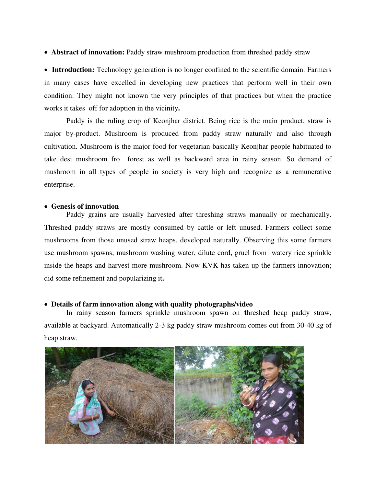**Abstract of innovation:** Paddy straw mushroom production from threshed paddy straw

• Introduction: Technology generation is no longer confined to the scientific domain. Farmers in many cases have excelled in developing new practices that perform well in their own condition. They might not known the very principles of that practices but when the practice works it takes off for adoption in the vicinity**.** 

Paddy is the ruling crop of Keonjhar district. Being rice is the main product, straw is major by-product. Mushroom is produced from paddy straw naturally and also through cultivation. Mushroom is the major food for vegetarian basically Keonjhar people habituated to take desi mushroom fro forest as well as backward area in rainy season. So demand of mushroom in all types of people in society is very high and recognize as a remunerative enterprise.

## **Genesis of innovation**

Paddy grains are usually harvested after threshing straws manually or mechanically. Threshed paddy straws are mostly consumed by cattle or left unused. Farmers collect some mushrooms from those unused straw heaps, developed naturally. Observing this some farmers use mushroom spawns, mushroom washing water, dilute cord, gruel from watery rice sprinkle inside the heaps and harvest more mushroom. Now KVK has taken up the farmers innovation; did some refinement and popularizing it**.** 

## **Details of farm innovation along with quality photographs/video**

In rainy season farmers sprinkle mushroom spawn on **t**hreshed heap paddy straw, available at backyard. Automatically 2-3 kg paddy straw mushroom comes out from 30-40 kg of heap straw.